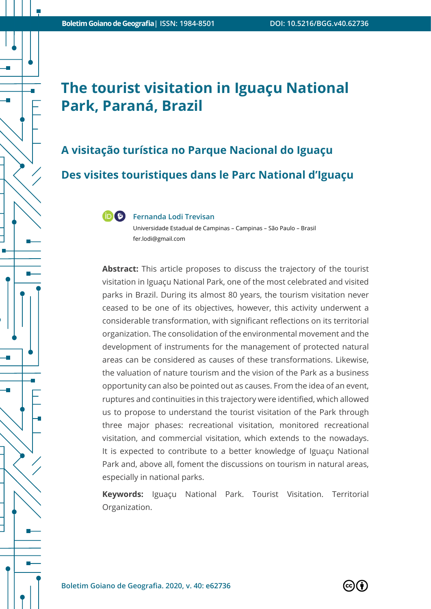# **The tourist visitation in Iguaçu National Park, Paraná, Brazil**

**A visitação turística no Parque Nacional do Iguaçu Des visites touristiques dans le Parc National d'Iguaçu**



#### **Fernanda Lodi Trevisan**

Universidade Estadual de Campinas – Campinas – São Paulo – Brasil fer.lodi@gmail.com

**Abstract:** This article proposes to discuss the trajectory of the tourist visitation in Iguaçu National Park, one of the most celebrated and visited parks in Brazil. During its almost 80 years, the tourism visitation never ceased to be one of its objectives, however, this activity underwent a considerable transformation, with significant reflections on its territorial organization. The consolidation of the environmental movement and the development of instruments for the management of protected natural areas can be considered as causes of these transformations. Likewise, the valuation of nature tourism and the vision of the Park as a business opportunity can also be pointed out as causes. From the idea of an event, ruptures and continuities in this trajectory were identified, which allowed us to propose to understand the tourist visitation of the Park through three major phases: recreational visitation, monitored recreational visitation, and commercial visitation, which extends to the nowadays. It is expected to contribute to a better knowledge of Iguaçu National Park and, above all, foment the discussions on tourism in natural areas, especially in national parks.

**Keywords:** Iguaçu National Park. Tourist Visitation. Territorial Organization.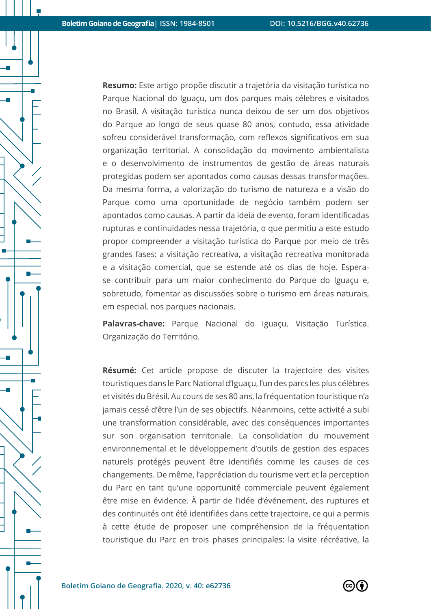**Resumo:** Este artigo propõe discutir a trajetória da visitação turística no Parque Nacional do Iguaçu, um dos parques mais célebres e visitados no Brasil. A visitação turística nunca deixou de ser um dos objetivos do Parque ao longo de seus quase 80 anos, contudo, essa atividade sofreu considerável transformação, com reflexos significativos em sua organização territorial. A consolidação do movimento ambientalista e o desenvolvimento de instrumentos de gestão de áreas naturais protegidas podem ser apontados como causas dessas transformações. Da mesma forma, a valorização do turismo de natureza e a visão do Parque como uma oportunidade de negócio também podem ser apontados como causas. A partir da ideia de evento, foram identificadas rupturas e continuidades nessa trajetória, o que permitiu a este estudo propor compreender a visitação turística do Parque por meio de três grandes fases: a visitação recreativa, a visitação recreativa monitorada e a visitação comercial, que se estende até os dias de hoje. Esperase contribuir para um maior conhecimento do Parque do Iguaçu e, sobretudo, fomentar as discussões sobre o turismo em áreas naturais, em especial, nos parques nacionais.

**Palavras-chave:** Parque Nacional do Iguaçu. Visitação Turística. Organização do Território.

**Résumé:** Cet article propose de discuter la trajectoire des visites touristiques dans le Parc National d'Iguaçu, l'un des parcs les plus célèbres et visités du Brésil. Au cours de ses 80 ans, la fréquentation touristique n'a jamais cessé d'être l'un de ses objectifs. Néanmoins, cette activité a subi une transformation considérable, avec des conséquences importantes sur son organisation territoriale. La consolidation du mouvement environnemental et le développement d'outils de gestion des espaces naturels protégés peuvent être identifiés comme les causes de ces changements. De même, l'appréciation du tourisme vert et la perception du Parc en tant qu'une opportunité commerciale peuvent également être mise en évidence. À partir de l'idée d'événement, des ruptures et des continuités ont été identifiées dans cette trajectoire, ce qui a permis à cette étude de proposer une compréhension de la fréquentation touristique du Parc en trois phases principales: la visite récréative, la

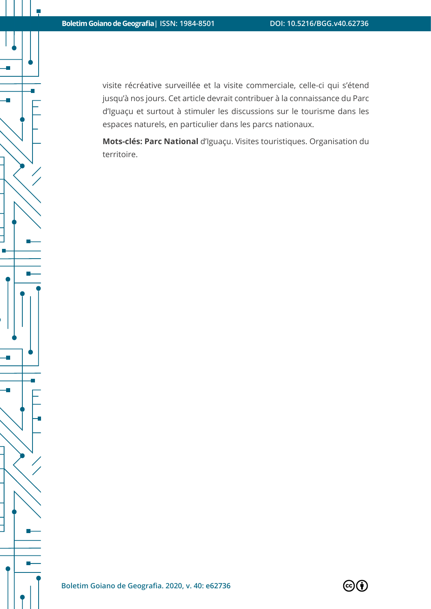visite récréative surveillée et la visite commerciale, celle-ci qui s'étend jusqu'à nos jours. Cet article devrait contribuer à la connaissance du Parc d'Iguaçu et surtout à stimuler les discussions sur le tourisme dans les espaces naturels, en particulier dans les parcs nationaux.

**Mots-clés: Parc National** d'Iguaçu. Visites touristiques. Organisation du territoire.

a.

 $\mathbb{R}^2$ 

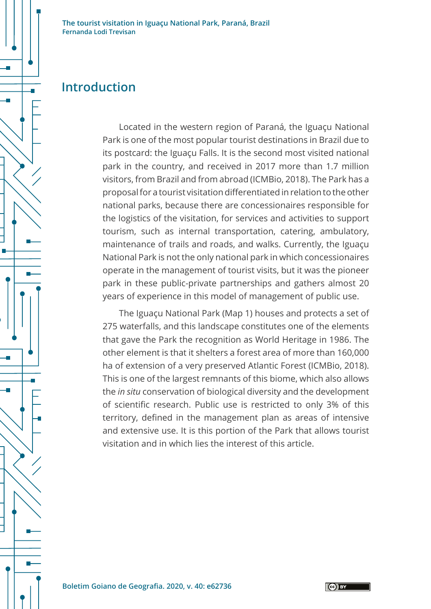

#### **Introduction**

Located in the western region of Paraná, the Iguaçu National Park is one of the most popular tourist destinations in Brazil due to its postcard: the Iguaçu Falls. It is the second most visited national park in the country, and received in 2017 more than 1.7 million visitors, from Brazil and from abroad (ICMBio, 2018). The Park has a proposal for a tourist visitation differentiated in relation to the other national parks, because there are concessionaires responsible for the logistics of the visitation, for services and activities to support tourism, such as internal transportation, catering, ambulatory, maintenance of trails and roads, and walks. Currently, the Iguaçu National Park is not the only national park in which concessionaires operate in the management of tourist visits, but it was the pioneer park in these public-private partnerships and gathers almost 20 years of experience in this model of management of public use.

The Iguaçu National Park (Map 1) houses and protects a set of 275 waterfalls, and this landscape constitutes one of the elements that gave the Park the recognition as World Heritage in 1986. The other element is that it shelters a forest area of more than 160,000 ha of extension of a very preserved Atlantic Forest (ICMBio, 2018). This is one of the largest remnants of this biome, which also allows the *in situ* conservation of biological diversity and the development of scientific research. Public use is restricted to only 3% of this territory, defined in the management plan as areas of intensive and extensive use. It is this portion of the Park that allows tourist visitation and in which lies the interest of this article.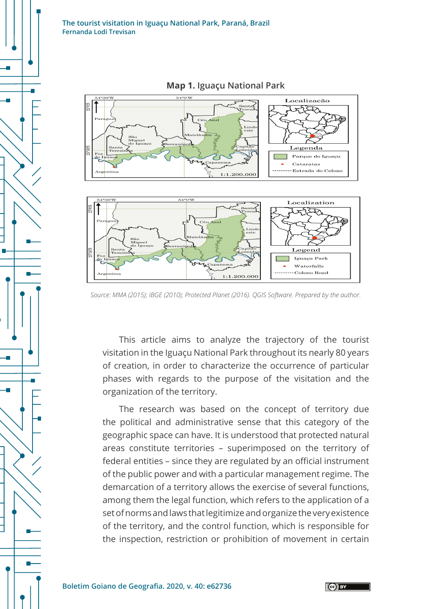

**Map 1. Iguaçu National Park**

This article aims to analyze the trajectory of the tourist visitation in the Iguaçu National Park throughout its nearly 80 years of creation, in order to characterize the occurrence of particular phases with regards to the purpose of the visitation and the organization of the territory.

The research was based on the concept of territory due the political and administrative sense that this category of the geographic space can have. It is understood that protected natural areas constitute territories – superimposed on the territory of federal entities – since they are regulated by an official instrument of the public power and with a particular management regime. The demarcation of a territory allows the exercise of several functions, among them the legal function, which refers to the application of a set of norms and laws that legitimize and organize the very existence of the territory, and the control function, which is responsible for the inspection, restriction or prohibition of movement in certain

*Source: MMA (2015); IBGE (2010); Protected Planet (2016). QGIS Software. Prepared by the author.*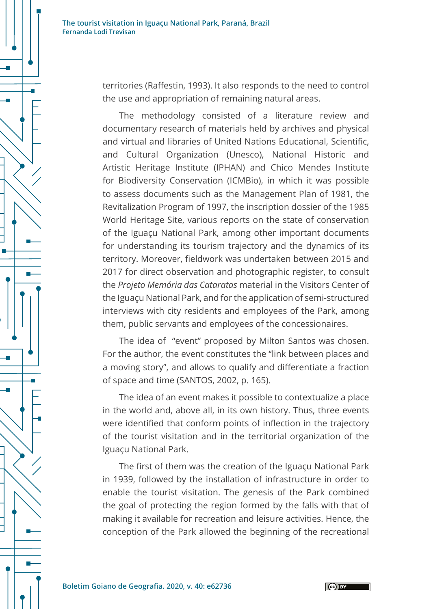territories (Raffestin, 1993). It also responds to the need to control the use and appropriation of remaining natural areas.

The methodology consisted of a literature review and documentary research of materials held by archives and physical and virtual and libraries of United Nations Educational, Scientific, and Cultural Organization (Unesco), National Historic and Artistic Heritage Institute (IPHAN) and Chico Mendes Institute for Biodiversity Conservation (ICMBio), in which it was possible to assess documents such as the Management Plan of 1981, the Revitalization Program of 1997, the inscription dossier of the 1985 World Heritage Site, various reports on the state of conservation of the Iguaçu National Park, among other important documents for understanding its tourism trajectory and the dynamics of its territory. Moreover, fieldwork was undertaken between 2015 and 2017 for direct observation and photographic register, to consult the *Projeto Memória das Cataratas* material in the Visitors Center of the Iguaçu National Park, and for the application of semi-structured interviews with city residents and employees of the Park, among them, public servants and employees of the concessionaires.

The idea of "event" proposed by Milton Santos was chosen. For the author, the event constitutes the "link between places and a moving story", and allows to qualify and differentiate a fraction of space and time (SANTOS, 2002, p. 165).

The idea of an event makes it possible to contextualize a place in the world and, above all, in its own history. Thus, three events were identified that conform points of inflection in the trajectory of the tourist visitation and in the territorial organization of the Iguaçu National Park.

The first of them was the creation of the Iguaçu National Park in 1939, followed by the installation of infrastructure in order to enable the tourist visitation. The genesis of the Park combined the goal of protecting the region formed by the falls with that of making it available for recreation and leisure activities. Hence, the conception of the Park allowed the beginning of the recreational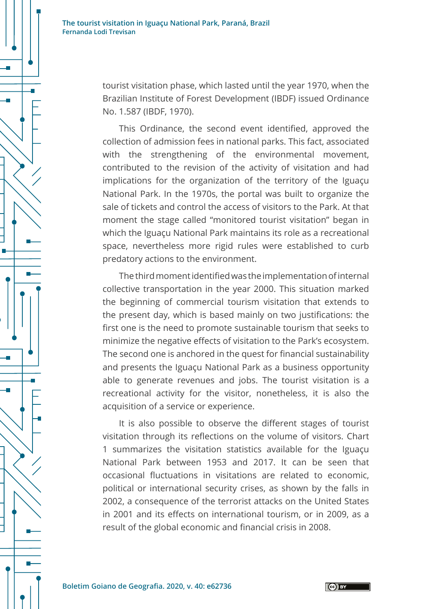

tourist visitation phase, which lasted until the year 1970, when the Brazilian Institute of Forest Development (IBDF) issued Ordinance No. 1.587 (IBDF, 1970).

This Ordinance, the second event identified, approved the collection of admission fees in national parks. This fact, associated with the strengthening of the environmental movement, contributed to the revision of the activity of visitation and had implications for the organization of the territory of the Iguaçu National Park. In the 1970s, the portal was built to organize the sale of tickets and control the access of visitors to the Park. At that moment the stage called "monitored tourist visitation" began in which the Iguaçu National Park maintains its role as a recreational space, nevertheless more rigid rules were established to curb predatory actions to the environment.

The third moment identified was the implementation of internal collective transportation in the year 2000. This situation marked the beginning of commercial tourism visitation that extends to the present day, which is based mainly on two justifications: the first one is the need to promote sustainable tourism that seeks to minimize the negative effects of visitation to the Park's ecosystem. The second one is anchored in the quest for financial sustainability and presents the Iguaçu National Park as a business opportunity able to generate revenues and jobs. The tourist visitation is a recreational activity for the visitor, nonetheless, it is also the acquisition of a service or experience.

It is also possible to observe the different stages of tourist visitation through its reflections on the volume of visitors. Chart 1 summarizes the visitation statistics available for the Iguaçu National Park between 1953 and 2017. It can be seen that occasional fluctuations in visitations are related to economic, political or international security crises, as shown by the falls in 2002, a consequence of the terrorist attacks on the United States in 2001 and its effects on international tourism, or in 2009, as a result of the global economic and financial crisis in 2008.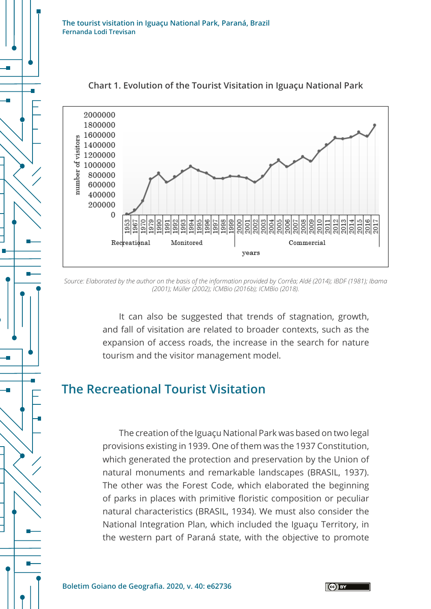

#### **Chart 1. Evolution of the Tourist Visitation in Iguaçu National Park**

*Source: Elaborated by the author on the basis of the information provided by Corrêa; Aldé (2014); IBDF (1981); Ibama (2001); Müller (2002); ICMBio (2016b); ICMBio (2018).*

It can also be suggested that trends of stagnation, growth, and fall of visitation are related to broader contexts, such as the expansion of access roads, the increase in the search for nature tourism and the visitor management model.

### **The Recreational Tourist Visitation**

The creation of the Iguaçu National Park was based on two legal provisions existing in 1939. One of them was the 1937 Constitution, which generated the protection and preservation by the Union of natural monuments and remarkable landscapes (BRASIL, 1937). The other was the Forest Code, which elaborated the beginning of parks in places with primitive floristic composition or peculiar natural characteristics (BRASIL, 1934). We must also consider the National Integration Plan, which included the Iguaçu Territory, in the western part of Paraná state, with the objective to promote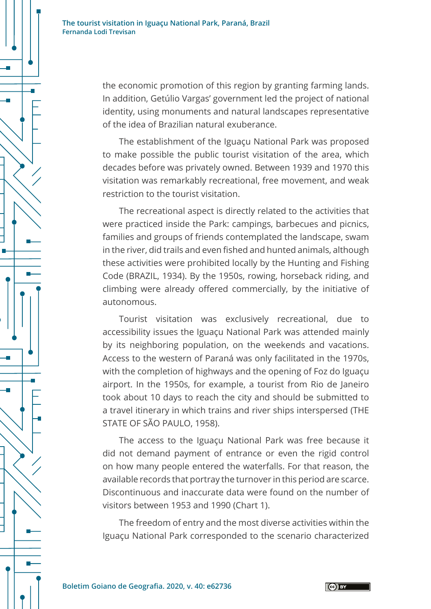

the economic promotion of this region by granting farming lands. In addition, Getúlio Vargas' government led the project of national identity, using monuments and natural landscapes representative of the idea of Brazilian natural exuberance.

The establishment of the Iguaçu National Park was proposed to make possible the public tourist visitation of the area, which decades before was privately owned. Between 1939 and 1970 this visitation was remarkably recreational, free movement, and weak restriction to the tourist visitation.

The recreational aspect is directly related to the activities that were practiced inside the Park: campings, barbecues and picnics, families and groups of friends contemplated the landscape, swam in the river, did trails and even fished and hunted animals, although these activities were prohibited locally by the Hunting and Fishing Code (BRAZIL, 1934). By the 1950s, rowing, horseback riding, and climbing were already offered commercially, by the initiative of autonomous.

Tourist visitation was exclusively recreational, due to accessibility issues the Iguaçu National Park was attended mainly by its neighboring population, on the weekends and vacations. Access to the western of Paraná was only facilitated in the 1970s, with the completion of highways and the opening of Foz do Iguaçu airport. In the 1950s, for example, a tourist from Rio de Janeiro took about 10 days to reach the city and should be submitted to a travel itinerary in which trains and river ships interspersed (THE STATE OF SÃO PAULO, 1958).

The access to the Iguaçu National Park was free because it did not demand payment of entrance or even the rigid control on how many people entered the waterfalls. For that reason, the available records that portray the turnover in this period are scarce. Discontinuous and inaccurate data were found on the number of visitors between 1953 and 1990 (Chart 1).

The freedom of entry and the most diverse activities within the Iguaçu National Park corresponded to the scenario characterized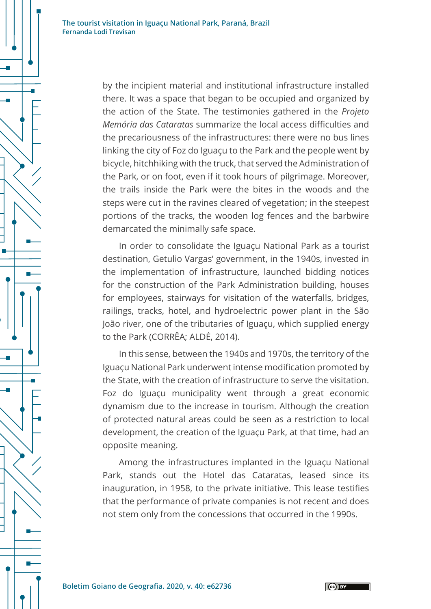by the incipient material and institutional infrastructure installed there. It was a space that began to be occupied and organized by the action of the State. The testimonies gathered in the *Projeto Memória das Cataratas* summarize the local access difficulties and the precariousness of the infrastructures: there were no bus lines linking the city of Foz do Iguaçu to the Park and the people went by bicycle, hitchhiking with the truck, that served the Administration of the Park, or on foot, even if it took hours of pilgrimage. Moreover, the trails inside the Park were the bites in the woods and the steps were cut in the ravines cleared of vegetation; in the steepest portions of the tracks, the wooden log fences and the barbwire demarcated the minimally safe space.

In order to consolidate the Iguaçu National Park as a tourist destination, Getulio Vargas' government, in the 1940s, invested in the implementation of infrastructure, launched bidding notices for the construction of the Park Administration building, houses for employees, stairways for visitation of the waterfalls, bridges, railings, tracks, hotel, and hydroelectric power plant in the São João river, one of the tributaries of Iguaçu, which supplied energy to the Park (CORRÊA; ALDÉ, 2014).

In this sense, between the 1940s and 1970s, the territory of the Iguaçu National Park underwent intense modification promoted by the State, with the creation of infrastructure to serve the visitation. Foz do Iguaçu municipality went through a great economic dynamism due to the increase in tourism. Although the creation of protected natural areas could be seen as a restriction to local development, the creation of the Iguaçu Park, at that time, had an opposite meaning.

Among the infrastructures implanted in the Iguaçu National Park, stands out the Hotel das Cataratas, leased since its inauguration, in 1958, to the private initiative. This lease testifies that the performance of private companies is not recent and does not stem only from the concessions that occurred in the 1990s.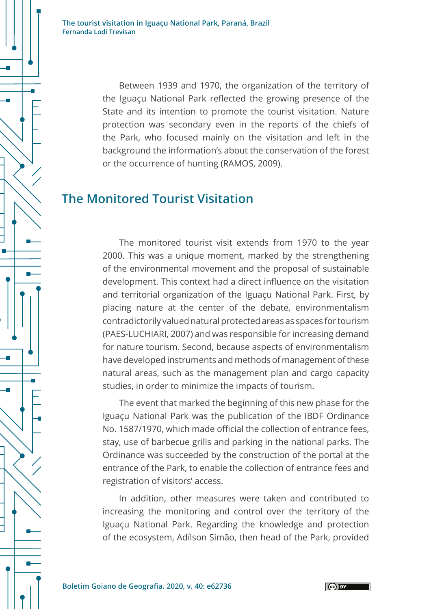> Between 1939 and 1970, the organization of the territory of the Iguaçu National Park reflected the growing presence of the State and its intention to promote the tourist visitation. Nature protection was secondary even in the reports of the chiefs of the Park, who focused mainly on the visitation and left in the background the information's about the conservation of the forest or the occurrence of hunting (RAMOS, 2009).

### **The Monitored Tourist Visitation**

The monitored tourist visit extends from 1970 to the year 2000. This was a unique moment, marked by the strengthening of the environmental movement and the proposal of sustainable development. This context had a direct influence on the visitation and territorial organization of the Iguaçu National Park. First, by placing nature at the center of the debate, environmentalism contradictorily valued natural protected areas as spaces for tourism (PAES-LUCHIARI, 2007) and was responsible for increasing demand for nature tourism. Second, because aspects of environmentalism have developed instruments and methods of management of these natural areas, such as the management plan and cargo capacity studies, in order to minimize the impacts of tourism.

The event that marked the beginning of this new phase for the Iguaçu National Park was the publication of the IBDF Ordinance No. 1587/1970, which made official the collection of entrance fees, stay, use of barbecue grills and parking in the national parks. The Ordinance was succeeded by the construction of the portal at the entrance of the Park, to enable the collection of entrance fees and registration of visitors' access.

In addition, other measures were taken and contributed to increasing the monitoring and control over the territory of the Iguaçu National Park. Regarding the knowledge and protection of the ecosystem, Adílson Simão, then head of the Park, provided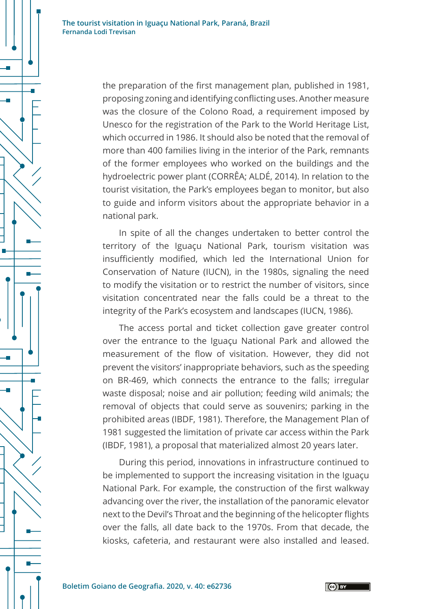> the preparation of the first management plan, published in 1981, proposing zoning and identifying conflicting uses. Another measure was the closure of the Colono Road, a requirement imposed by Unesco for the registration of the Park to the World Heritage List, which occurred in 1986. It should also be noted that the removal of more than 400 families living in the interior of the Park, remnants of the former employees who worked on the buildings and the hydroelectric power plant (CORRÊA; ALDÉ, 2014). In relation to the tourist visitation, the Park's employees began to monitor, but also to guide and inform visitors about the appropriate behavior in a national park.

> In spite of all the changes undertaken to better control the territory of the Iguaçu National Park, tourism visitation was insufficiently modified, which led the International Union for Conservation of Nature (IUCN), in the 1980s, signaling the need to modify the visitation or to restrict the number of visitors, since visitation concentrated near the falls could be a threat to the integrity of the Park's ecosystem and landscapes (IUCN, 1986).

> The access portal and ticket collection gave greater control over the entrance to the Iguaçu National Park and allowed the measurement of the flow of visitation. However, they did not prevent the visitors' inappropriate behaviors, such as the speeding on BR-469, which connects the entrance to the falls; irregular waste disposal; noise and air pollution; feeding wild animals; the removal of objects that could serve as souvenirs; parking in the prohibited areas (IBDF, 1981). Therefore, the Management Plan of 1981 suggested the limitation of private car access within the Park (IBDF, 1981), a proposal that materialized almost 20 years later.

> During this period, innovations in infrastructure continued to be implemented to support the increasing visitation in the Iguaçu National Park. For example, the construction of the first walkway advancing over the river, the installation of the panoramic elevator next to the Devil's Throat and the beginning of the helicopter flights over the falls, all date back to the 1970s. From that decade, the kiosks, cafeteria, and restaurant were also installed and leased.

 $(G)$  BY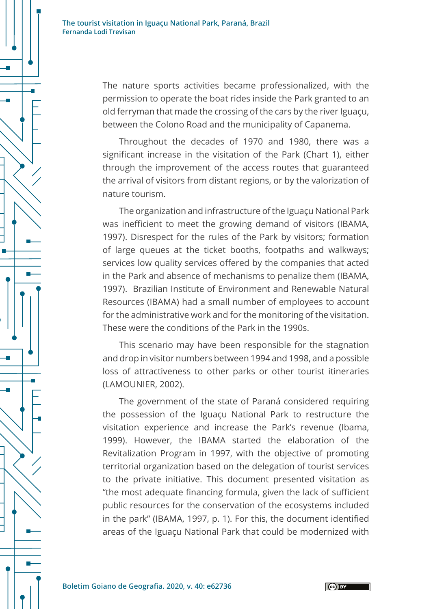The nature sports activities became professionalized, with the permission to operate the boat rides inside the Park granted to an old ferryman that made the crossing of the cars by the river Iguaçu, between the Colono Road and the municipality of Capanema.

Throughout the decades of 1970 and 1980, there was a significant increase in the visitation of the Park (Chart 1), either through the improvement of the access routes that guaranteed the arrival of visitors from distant regions, or by the valorization of nature tourism.

The organization and infrastructure of the Iguaçu National Park was inefficient to meet the growing demand of visitors (IBAMA, 1997). Disrespect for the rules of the Park by visitors; formation of large queues at the ticket booths, footpaths and walkways; services low quality services offered by the companies that acted in the Park and absence of mechanisms to penalize them (IBAMA, 1997). Brazilian Institute of Environment and Renewable Natural Resources (IBAMA) had a small number of employees to account for the administrative work and for the monitoring of the visitation. These were the conditions of the Park in the 1990s.

This scenario may have been responsible for the stagnation and drop in visitor numbers between 1994 and 1998, and a possible loss of attractiveness to other parks or other tourist itineraries (LAMOUNIER, 2002).

The government of the state of Paraná considered requiring the possession of the Iguaçu National Park to restructure the visitation experience and increase the Park's revenue (Ibama, 1999). However, the IBAMA started the elaboration of the Revitalization Program in 1997, with the objective of promoting territorial organization based on the delegation of tourist services to the private initiative. This document presented visitation as "the most adequate financing formula, given the lack of sufficient public resources for the conservation of the ecosystems included in the park" (IBAMA, 1997, p. 1). For this, the document identified areas of the Iguaçu National Park that could be modernized with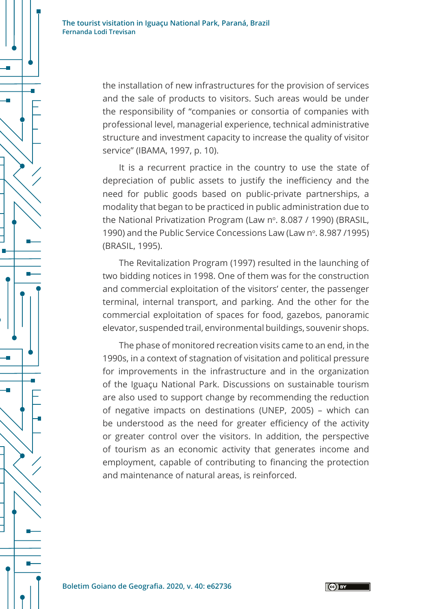> the installation of new infrastructures for the provision of services and the sale of products to visitors. Such areas would be under the responsibility of "companies or consortia of companies with professional level, managerial experience, technical administrative structure and investment capacity to increase the quality of visitor service" (IBAMA, 1997, p. 10).

> It is a recurrent practice in the country to use the state of depreciation of public assets to justify the inefficiency and the need for public goods based on public-private partnerships, a modality that began to be practiced in public administration due to the National Privatization Program (Law  $n^{\circ}$ , 8.087 / 1990) (BRASIL, 1990) and the Public Service Concessions Law (Law nº. 8.987/1995) (BRASIL, 1995).

> The Revitalization Program (1997) resulted in the launching of two bidding notices in 1998. One of them was for the construction and commercial exploitation of the visitors' center, the passenger terminal, internal transport, and parking. And the other for the commercial exploitation of spaces for food, gazebos, panoramic elevator, suspended trail, environmental buildings, souvenir shops.

> The phase of monitored recreation visits came to an end, in the 1990s, in a context of stagnation of visitation and political pressure for improvements in the infrastructure and in the organization of the Iguaçu National Park. Discussions on sustainable tourism are also used to support change by recommending the reduction of negative impacts on destinations (UNEP, 2005) – which can be understood as the need for greater efficiency of the activity or greater control over the visitors. In addition, the perspective of tourism as an economic activity that generates income and employment, capable of contributing to financing the protection and maintenance of natural areas, is reinforced.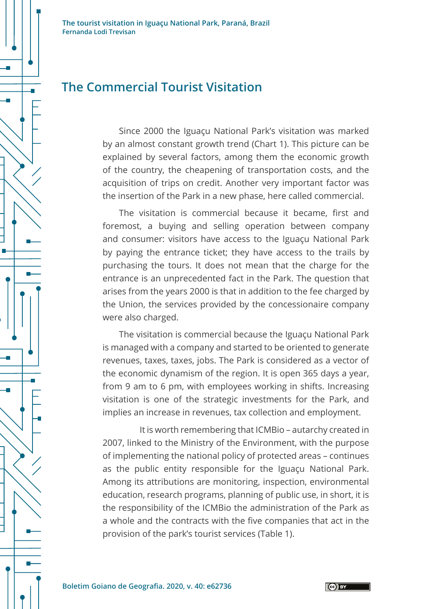### **The Commercial Tourist Visitation**

Since 2000 the Iguaçu National Park's visitation was marked by an almost constant growth trend (Chart 1). This picture can be explained by several factors, among them the economic growth of the country, the cheapening of transportation costs, and the acquisition of trips on credit. Another very important factor was the insertion of the Park in a new phase, here called commercial.

The visitation is commercial because it became, first and foremost, a buying and selling operation between company and consumer: visitors have access to the Iguaçu National Park by paying the entrance ticket; they have access to the trails by purchasing the tours. It does not mean that the charge for the entrance is an unprecedented fact in the Park. The question that arises from the years 2000 is that in addition to the fee charged by the Union, the services provided by the concessionaire company were also charged.

The visitation is commercial because the Iguaçu National Park is managed with a company and started to be oriented to generate revenues, taxes, taxes, jobs. The Park is considered as a vector of the economic dynamism of the region. It is open 365 days a year, from 9 am to 6 pm, with employees working in shifts. Increasing visitation is one of the strategic investments for the Park, and implies an increase in revenues, tax collection and employment.

It is worth remembering that ICMBio – autarchy created in 2007, linked to the Ministry of the Environment, with the purpose of implementing the national policy of protected areas – continues as the public entity responsible for the Iguaçu National Park. Among its attributions are monitoring, inspection, environmental education, research programs, planning of public use, in short, it is the responsibility of the ICMBio the administration of the Park as a whole and the contracts with the five companies that act in the provision of the park's tourist services (Table 1).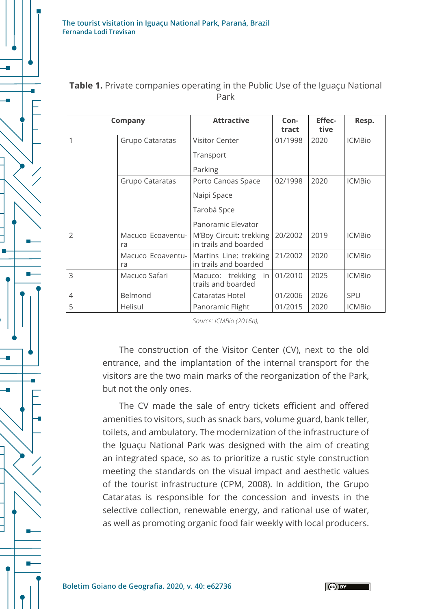

| <b>Company</b> |                         | <b>Attractive</b>                                | Con-<br>tract | <b>Effec-</b><br>tive | Resp.         |
|----------------|-------------------------|--------------------------------------------------|---------------|-----------------------|---------------|
| 1              | Grupo Cataratas         | Visitor Center                                   | 01/1998       | 2020                  | <b>ICMBio</b> |
|                |                         | Transport                                        |               |                       |               |
|                |                         | Parking                                          |               |                       |               |
|                | Grupo Cataratas         | Porto Canoas Space                               | 02/1998       | 2020                  | <b>ICMBio</b> |
|                |                         | Naipi Space                                      |               |                       |               |
|                |                         | Tarobá Spce                                      |               |                       |               |
|                |                         | Panoramic Elevator                               |               |                       |               |
| $\overline{2}$ | Macuco Ecoaventu-<br>ra | M'Boy Circuit: trekking<br>in trails and boarded | 20/2002       | 2019                  | <b>ICMBio</b> |
|                | Macuco Ecoaventu-<br>ra | Martins Line: trekking<br>in trails and boarded  | 21/2002       | 2020                  | <b>ICMBio</b> |
| 3              | Macuco Safari           | Macuco: trekking<br>in<br>trails and boarded     | 01/2010       | 2025                  | <b>ICMBio</b> |
| 4              | Belmond                 | Cataratas Hotel                                  | 01/2006       | 2026                  | <b>SPU</b>    |
| 5              | Helisul                 | Panoramic Flight                                 | 01/2015       | 2020                  | <b>ICMBio</b> |

#### **Table 1.** Private companies operating in the Public Use of the Iguaçu National Park

*Source: ICMBio (2016a),*

The construction of the Visitor Center (CV), next to the old entrance, and the implantation of the internal transport for the visitors are the two main marks of the reorganization of the Park, but not the only ones.

The CV made the sale of entry tickets efficient and offered amenities to visitors, such as snack bars, volume guard, bank teller, toilets, and ambulatory. The modernization of the infrastructure of the Iguaçu National Park was designed with the aim of creating an integrated space, so as to prioritize a rustic style construction meeting the standards on the visual impact and aesthetic values of the tourist infrastructure (CPM, 2008). In addition, the Grupo Cataratas is responsible for the concession and invests in the selective collection, renewable energy, and rational use of water, as well as promoting organic food fair weekly with local producers.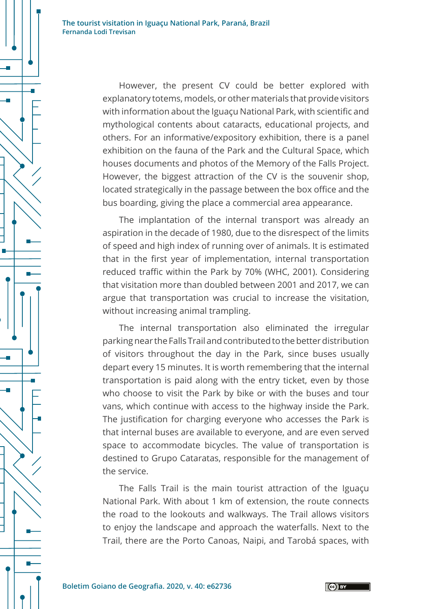However, the present CV could be better explored with explanatory totems, models, or other materials that provide visitors with information about the Iguaçu National Park, with scientific and mythological contents about cataracts, educational projects, and others. For an informative/expository exhibition, there is a panel exhibition on the fauna of the Park and the Cultural Space, which houses documents and photos of the Memory of the Falls Project. However, the biggest attraction of the CV is the souvenir shop, located strategically in the passage between the box office and the bus boarding, giving the place a commercial area appearance.

The implantation of the internal transport was already an aspiration in the decade of 1980, due to the disrespect of the limits of speed and high index of running over of animals. It is estimated that in the first year of implementation, internal transportation reduced traffic within the Park by 70% (WHC, 2001). Considering that visitation more than doubled between 2001 and 2017, we can argue that transportation was crucial to increase the visitation, without increasing animal trampling.

The internal transportation also eliminated the irregular parking near the Falls Trail and contributed to the better distribution of visitors throughout the day in the Park, since buses usually depart every 15 minutes. It is worth remembering that the internal transportation is paid along with the entry ticket, even by those who choose to visit the Park by bike or with the buses and tour vans, which continue with access to the highway inside the Park. The justification for charging everyone who accesses the Park is that internal buses are available to everyone, and are even served space to accommodate bicycles. The value of transportation is destined to Grupo Cataratas, responsible for the management of the service.

The Falls Trail is the main tourist attraction of the Iguaçu National Park. With about 1 km of extension, the route connects the road to the lookouts and walkways. The Trail allows visitors to enjoy the landscape and approach the waterfalls. Next to the Trail, there are the Porto Canoas, Naipi, and Tarobá spaces, with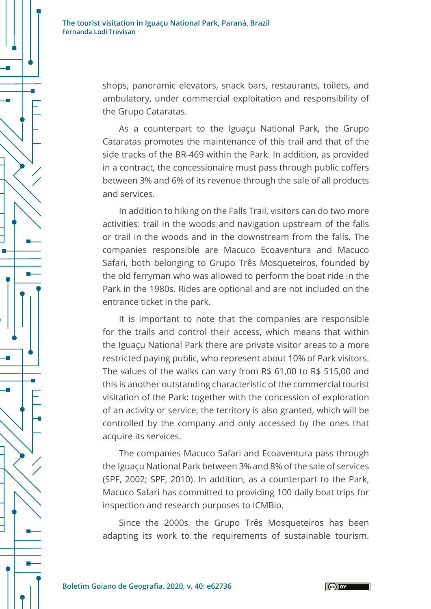> shops, panoramic elevators, snack bars, restaurants, toilets, and ambulatory, under commercial exploitation and responsibility of the Grupo Cataratas.

> As a counterpart to the Iguaçu National Park, the Grupo Cataratas promotes the maintenance of this trail and that of the side tracks of the BR-469 within the Park. In addition, as provided in a contract, the concessionaire must pass through public coffers between 3% and 6% of its revenue through the sale of all products and services.

> In addition to hiking on the Falls Trail, visitors can do two more activities: trail in the woods and navigation upstream of the falls or trail in the woods and in the downstream from the falls. The companies responsible are Macuco Ecoaventura and Macuco Safari, both belonging to Grupo Três Mosqueteiros, founded by the old ferryman who was allowed to perform the boat ride in the Park in the 1980s. Rides are optional and are not included on the entrance ticket in the park.

> It is important to note that the companies are responsible for the trails and control their access, which means that within the Iguaçu National Park there are private visitor areas to a more restricted paying public, who represent about 10% of Park visitors. The values of the walks can vary from R\$ 61,00 to R\$ 515,00 and this is another outstanding characteristic of the commercial tourist visitation of the Park: together with the concession of exploration of an activity or service, the territory is also granted, which will be controlled by the company and only accessed by the ones that acquire its services.

> The companies Macuco Safari and Ecoaventura pass through the Iguaçu National Park between 3% and 8% of the sale of services (SPF, 2002; SPF, 2010). In addition, as a counterpart to the Park, Macuco Safari has committed to providing 100 daily boat trips for inspection and research purposes to ICMBio.

> Since the 2000s, the Grupo Três Mosqueteiros has been adapting its work to the requirements of sustainable tourism.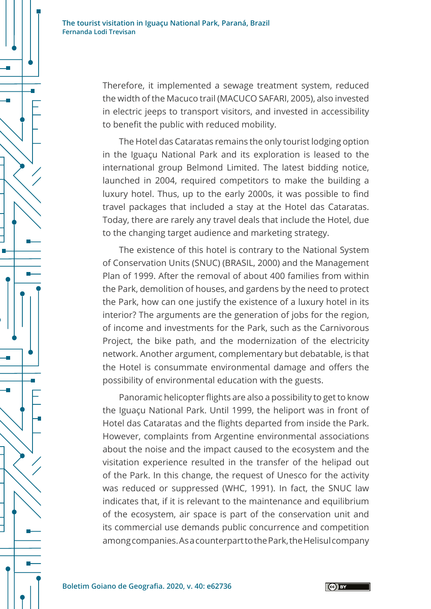

Therefore, it implemented a sewage treatment system, reduced the width of the Macuco trail (MACUCO SAFARI, 2005), also invested in electric jeeps to transport visitors, and invested in accessibility to benefit the public with reduced mobility.

The Hotel das Cataratas remains the only tourist lodging option in the Iguaçu National Park and its exploration is leased to the international group Belmond Limited. The latest bidding notice, launched in 2004, required competitors to make the building a luxury hotel. Thus, up to the early 2000s, it was possible to find travel packages that included a stay at the Hotel das Cataratas. Today, there are rarely any travel deals that include the Hotel, due to the changing target audience and marketing strategy.

The existence of this hotel is contrary to the National System of Conservation Units (SNUC) (BRASIL, 2000) and the Management Plan of 1999. After the removal of about 400 families from within the Park, demolition of houses, and gardens by the need to protect the Park, how can one justify the existence of a luxury hotel in its interior? The arguments are the generation of jobs for the region, of income and investments for the Park, such as the Carnivorous Project, the bike path, and the modernization of the electricity network. Another argument, complementary but debatable, is that the Hotel is consummate environmental damage and offers the possibility of environmental education with the guests.

Panoramic helicopter flights are also a possibility to get to know the Iguaçu National Park. Until 1999, the heliport was in front of Hotel das Cataratas and the flights departed from inside the Park. However, complaints from Argentine environmental associations about the noise and the impact caused to the ecosystem and the visitation experience resulted in the transfer of the helipad out of the Park. In this change, the request of Unesco for the activity was reduced or suppressed (WHC, 1991). In fact, the SNUC law indicates that, if it is relevant to the maintenance and equilibrium of the ecosystem, air space is part of the conservation unit and its commercial use demands public concurrence and competition among companies. As a counterpart to the Park, the Helisul company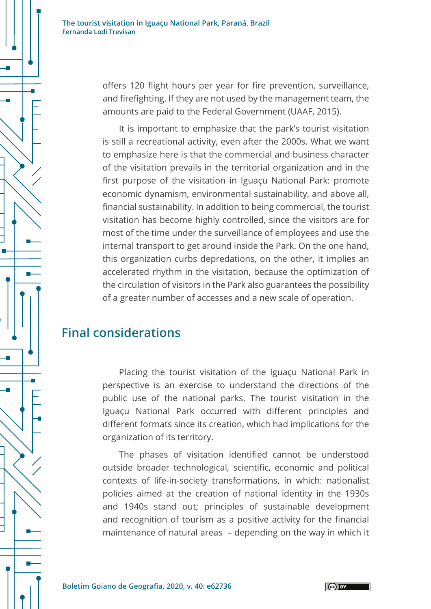> offers 120 flight hours per year for fire prevention, surveillance, and firefighting. If they are not used by the management team, the amounts are paid to the Federal Government (UAAF, 2015).

> It is important to emphasize that the park's tourist visitation is still a recreational activity, even after the 2000s. What we want to emphasize here is that the commercial and business character of the visitation prevails in the territorial organization and in the first purpose of the visitation in Iguaçu National Park: promote economic dynamism, environmental sustainability, and above all, financial sustainability. In addition to being commercial, the tourist visitation has become highly controlled, since the visitors are for most of the time under the surveillance of employees and use the internal transport to get around inside the Park. On the one hand, this organization curbs depredations, on the other, it implies an accelerated rhythm in the visitation, because the optimization of the circulation of visitors in the Park also guarantees the possibility of a greater number of accesses and a new scale of operation.

### **Final considerations**

Placing the tourist visitation of the Iguaçu National Park in perspective is an exercise to understand the directions of the public use of the national parks. The tourist visitation in the Iguaçu National Park occurred with different principles and different formats since its creation, which had implications for the organization of its territory.

The phases of visitation identified cannot be understood outside broader technological, scientific, economic and political contexts of life-in-society transformations, in which: nationalist policies aimed at the creation of national identity in the 1930s and 1940s stand out; principles of sustainable development and recognition of tourism as a positive activity for the financial maintenance of natural areas – depending on the way in which it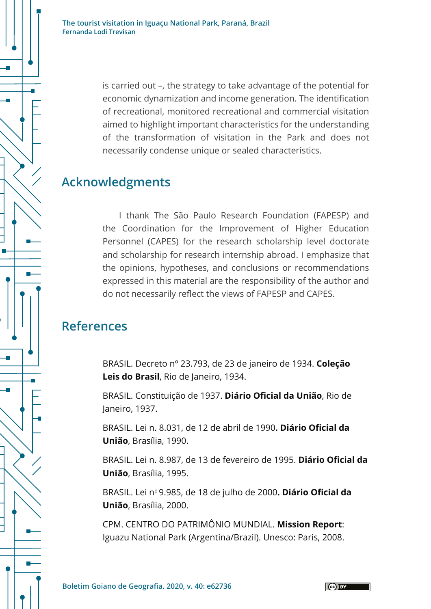> is carried out –, the strategy to take advantage of the potential for economic dynamization and income generation. The identification of recreational, monitored recreational and commercial visitation aimed to highlight important characteristics for the understanding of the transformation of visitation in the Park and does not necessarily condense unique or sealed characteristics.

### **Acknowledgments**

I thank The São Paulo Research Foundation (FAPESP) and the Coordination for the Improvement of Higher Education Personnel (CAPES) for the research scholarship level doctorate and scholarship for research internship abroad. I emphasize that the opinions, hypotheses, and conclusions or recommendations expressed in this material are the responsibility of the author and do not necessarily reflect the views of FAPESP and CAPES.

## **References**

BRASIL. Decreto nº 23.793, de 23 de janeiro de 1934. **Coleção**  Leis do Brasil, Rio de Janeiro, 1934.

BRASIL. Constituição de 1937. **Diário Oficial da União**, Rio de Janeiro, 1937.

BRASIL. Lei n. 8.031, de 12 de abril de 1990**. Diário Oficial da União**, Brasília, 1990.

BRASIL. Lei n. 8.987, de 13 de fevereiro de 1995. **Diário Oficial da União**, Brasília, 1995.

BRASIL. Lei nº [9.985, de 18 de julho de 2000](http://legislacao.planalto.gov.br/legisla/legislacao.nsf/Viw_Identificacao/lei%209.985-2000?OpenDocument). Diário Oficial da **União**, Brasília, 2000.

CPM. CENTRO DO PATRIMÔNIO MUNDIAL. **Mission Report**: Iguazu National Park (Argentina/Brazil). Unesco: Paris, 2008.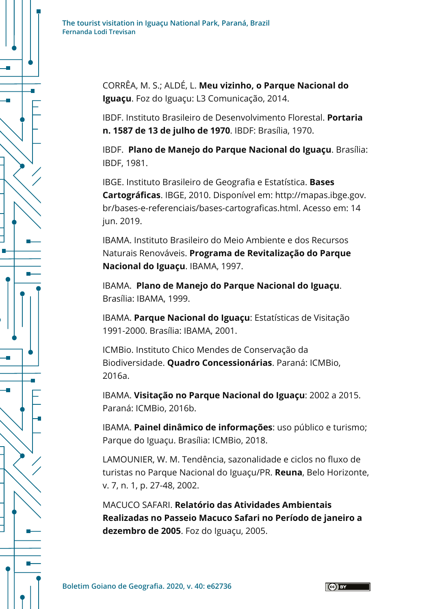

CORRÊA, M. S.; ALDÉ, L. **Meu vizinho, o Parque Nacional do Iguaçu**. Foz do Iguaçu: L3 Comunicação, 2014.

IBDF. Instituto Brasileiro de Desenvolvimento Florestal. **Portaria n. 1587 de 13 de julho de 1970**. IBDF: Brasília, 1970.

IBDF. **Plano de Manejo do Parque Nacional do Iguaçu**. Brasília: IBDF, 1981.

IBGE. Instituto Brasileiro de Geografia e Estatística. **Bases Cartográficas**. IBGE, 2010. Disponível em: http://mapas.ibge.gov. br/bases-e-referenciais/bases-cartograficas.html. Acesso em: 14 jun. 2019.

IBAMA. Instituto Brasileiro do Meio Ambiente e dos Recursos Naturais Renováveis. **Programa de Revitalização do Parque Nacional do Iguaçu**. IBAMA, 1997.

IBAMA. **Plano de Manejo do Parque Nacional do Iguaçu**. Brasília: IBAMA, 1999.

IBAMA. **Parque Nacional do Iguaçu**: Estatísticas de Visitação 1991-2000. Brasília: IBAMA, 2001.

ICMBio. Instituto Chico Mendes de Conservação da Biodiversidade. **Quadro Concessionárias**. Paraná: ICMBio, 2016a.

IBAMA. **Visitação no Parque Nacional do Iguaçu**: 2002 a 2015. Paraná: ICMBio, 2016b.

IBAMA. **Painel dinâmico de informações**: uso público e turismo; Parque do Iguaçu. Brasília: ICMBio, 2018.

LAMOUNIER, W. M. Tendência, sazonalidade e ciclos no fluxo de turistas no Parque Nacional do Iguaçu/PR. **Reuna**, Belo Horizonte, v. 7, n. 1, p. 27-48, 2002.

MACUCO SAFARI. **Relatório das Atividades Ambientais Realizadas no Passeio Macuco Safari no Período de janeiro a dezembro de 2005**. Foz do Iguaçu, 2005.

 $(G)$  BY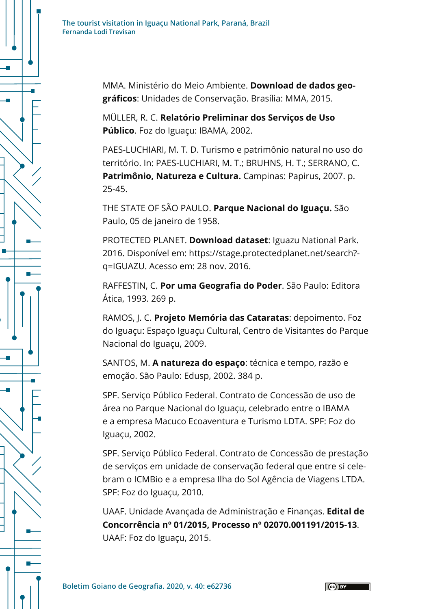

MMA. Ministério do Meio Ambiente. **Download de dados geográficos**: Unidades de Conservação. Brasília: MMA, 2015.

MÜLLER, R. C. **Relatório Preliminar dos Serviços de Uso Público**. Foz do Iguaçu: IBAMA, 2002.

PAES-LUCHIARI, M. T. D. Turismo e patrimônio natural no uso do território. In: PAES-LUCHIARI, M. T.; BRUHNS, H. T.; SERRANO, C. **Patrimônio, Natureza e Cultura.** Campinas: Papirus, 2007. p. 25-45.

THE STATE OF SÃO PAULO. **Parque Nacional do Iguaçu.** São Paulo, 05 de janeiro de 1958.

PROTECTED PLANET. **Download dataset**: Iguazu National Park. 2016. Disponível em: https://stage.protectedplanet.net/search? q=IGUAZU. Acesso em: 28 nov. 2016.

RAFFESTIN, C. **Por uma Geografia do Poder**. São Paulo: Editora Ática, 1993. 269 p.

RAMOS, J. C. **Projeto Memória das Cataratas**: depoimento. Foz do Iguaçu: Espaço Iguaçu Cultural, Centro de Visitantes do Parque Nacional do Iguaçu, 2009.

SANTOS, M. **A natureza do espaço**: técnica e tempo, razão e emoção. São Paulo: Edusp, 2002. 384 p.

SPF. Serviço Público Federal. Contrato de Concessão de uso de área no Parque Nacional do Iguaçu, celebrado entre o IBAMA e a empresa Macuco Ecoaventura e Turismo LDTA. SPF: Foz do Iguaçu, 2002.

SPF. Serviço Público Federal. Contrato de Concessão de prestação de serviços em unidade de conservação federal que entre si celebram o ICMBio e a empresa Ilha do Sol Agência de Viagens LTDA. SPF: Foz do Iguaçu, 2010.

UAAF. Unidade Avançada de Administração e Finanças. **Edital de Concorrência nº 01/2015, Processo nº 02070.001191/2015-13**. UAAF: Foz do Iguaçu, 2015.

 $\left($ ce $\right)$  BY